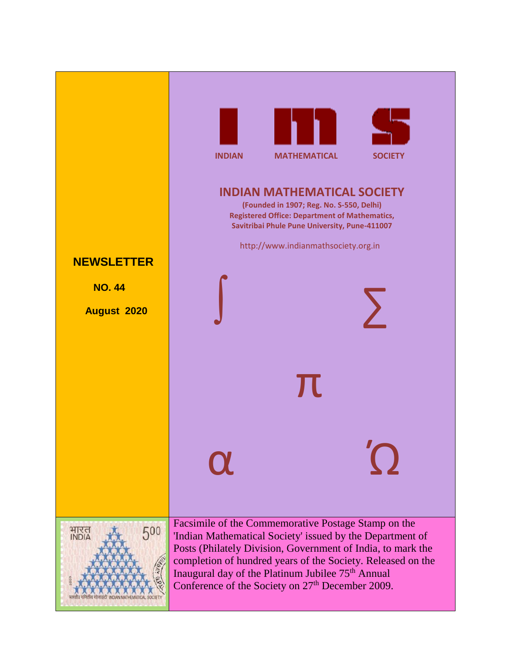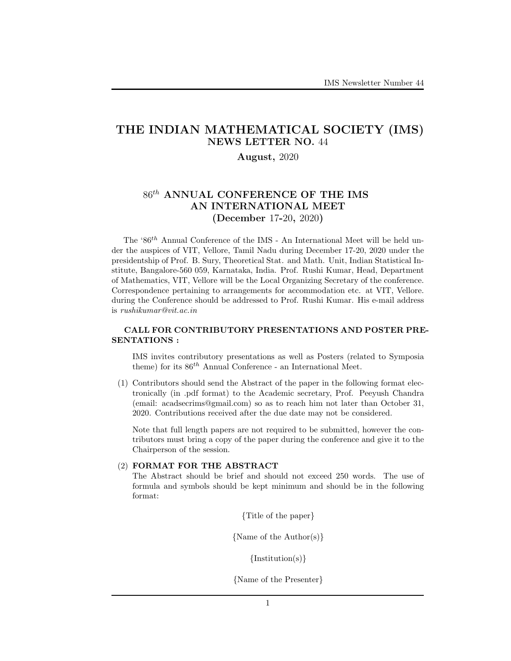# THE INDIAN MATHEMATICAL SOCIETY (IMS) NEWS LETTER NO. 44

# August, 2020

# $86$ <sup>th</sup> ANNUAL CONFERENCE OF THE IMS AN INTERNATIONAL MEET (December 17-20, 2020)

The ' $86^{th}$  Annual Conference of the IMS - An International Meet will be held under the auspices of VIT, Vellore, Tamil Nadu during December 17-20, 2020 under the presidentship of Prof. B. Sury, Theoretical Stat. and Math. Unit, Indian Statistical Institute, Bangalore-560 059, Karnataka, India. Prof. Rushi Kumar, Head, Department of Mathematics, VIT, Vellore will be the Local Organizing Secretary of the conference. Correspondence pertaining to arrangements for accommodation etc. at VIT, Vellore. during the Conference should be addressed to Prof. Rushi Kumar. His e-mail address is rushikumar@vit.ac.in

### CALL FOR CONTRIBUTORY PRESENTATIONS AND POSTER PRE-SENTATIONS :

IMS invites contributory presentations as well as Posters (related to Symposia theme) for its  $86^{th}$  Annual Conference - an International Meet.

(1) Contributors should send the Abstract of the paper in the following format electronically (in .pdf format) to the Academic secretary, Prof. Peeyush Chandra (email: acadsecrims@gmail.com) so as to reach him not later than October 31, 2020. Contributions received after the due date may not be considered.

Note that full length papers are not required to be submitted, however the contributors must bring a copy of the paper during the conference and give it to the Chairperson of the session.

#### (2) FORMAT FOR THE ABSTRACT

The Abstract should be brief and should not exceed 250 words. The use of formula and symbols should be kept minimum and should be in the following format:

{Title of the paper}

{Name of the Author(s)}

 $\{Institution(s)\}\$ 

{Name of the Presenter}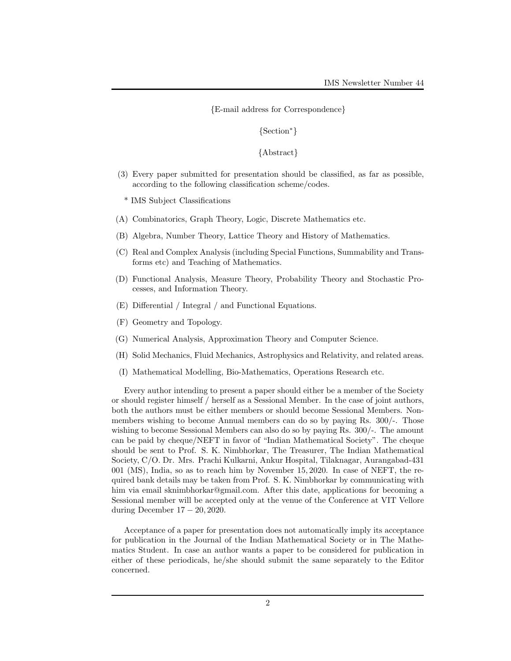{E-mail address for Correspondence}

{Section<sup>∗</sup>}

{Abstract}

(3) Every paper submitted for presentation should be classified, as far as possible, according to the following classification scheme/codes.

\* IMS Subject Classifications

- (A) Combinatorics, Graph Theory, Logic, Discrete Mathematics etc.
- (B) Algebra, Number Theory, Lattice Theory and History of Mathematics.
- (C) Real and Complex Analysis (including Special Functions, Summability and Transforms etc) and Teaching of Mathematics.
- (D) Functional Analysis, Measure Theory, Probability Theory and Stochastic Processes, and Information Theory.
- (E) Differential / Integral / and Functional Equations.
- (F) Geometry and Topology.
- (G) Numerical Analysis, Approximation Theory and Computer Science.
- (H) Solid Mechanics, Fluid Mechanics, Astrophysics and Relativity, and related areas.
- (I) Mathematical Modelling, Bio-Mathematics, Operations Research etc.

Every author intending to present a paper should either be a member of the Society or should register himself / herself as a Sessional Member. In the case of joint authors, both the authors must be either members or should become Sessional Members. Nonmembers wishing to become Annual members can do so by paying Rs. 300/-. Those wishing to become Sessional Members can also do so by paying Rs. 300/-. The amount can be paid by cheque/NEFT in favor of "Indian Mathematical Society". The cheque should be sent to Prof. S. K. Nimbhorkar, The Treasurer, The Indian Mathematical Society, C/O. Dr. Mrs. Prachi Kulkarni, Ankur Hospital, Tilaknagar, Aurangabad-431 001 (MS), India, so as to reach him by November 15, 2020. In case of NEFT, the required bank details may be taken from Prof. S. K. Nimbhorkar by communicating with him via email sknimbhorkar@gmail.com. After this date, applications for becoming a Sessional member will be accepted only at the venue of the Conference at VIT Vellore during December 17 − 20, 2020.

Acceptance of a paper for presentation does not automatically imply its acceptance for publication in the Journal of the Indian Mathematical Society or in The Mathematics Student. In case an author wants a paper to be considered for publication in either of these periodicals, he/she should submit the same separately to the Editor concerned.

2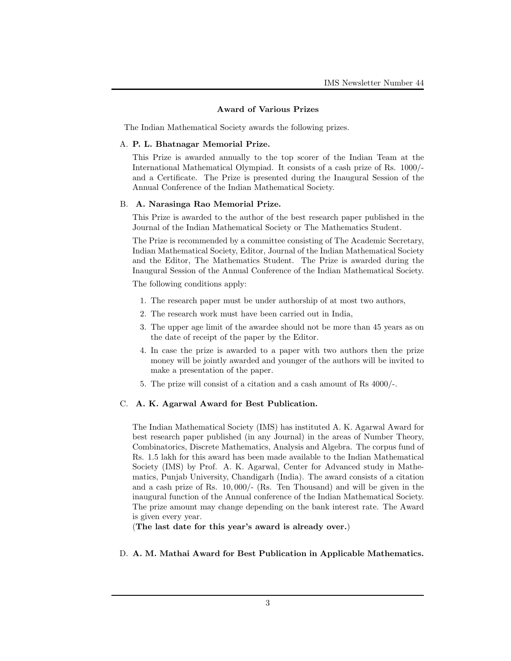#### Award of Various Prizes

The Indian Mathematical Society awards the following prizes.

#### A. P. L. Bhatnagar Memorial Prize.

This Prize is awarded annually to the top scorer of the Indian Team at the International Mathematical Olympiad. It consists of a cash prize of Rs. 1000/ and a Certificate. The Prize is presented during the Inaugural Session of the Annual Conference of the Indian Mathematical Society.

#### B. A. Narasinga Rao Memorial Prize.

This Prize is awarded to the author of the best research paper published in the Journal of the Indian Mathematical Society or The Mathematics Student.

The Prize is recommended by a committee consisting of The Academic Secretary, Indian Mathematical Society, Editor, Journal of the Indian Mathematical Society and the Editor, The Mathematics Student. The Prize is awarded during the Inaugural Session of the Annual Conference of the Indian Mathematical Society.

The following conditions apply:

- 1. The research paper must be under authorship of at most two authors,
- 2. The research work must have been carried out in India,
- 3. The upper age limit of the awardee should not be more than 45 years as on the date of receipt of the paper by the Editor.
- 4. In case the prize is awarded to a paper with two authors then the prize money will be jointly awarded and younger of the authors will be invited to make a presentation of the paper.
- 5. The prize will consist of a citation and a cash amount of Rs 4000/-.

# C. A. K. Agarwal Award for Best Publication.

The Indian Mathematical Society (IMS) has instituted A. K. Agarwal Award for best research paper published (in any Journal) in the areas of Number Theory, Combinatorics, Discrete Mathematics, Analysis and Algebra. The corpus fund of Rs. 1.5 lakh for this award has been made available to the Indian Mathematical Society (IMS) by Prof. A. K. Agarwal, Center for Advanced study in Mathematics, Punjab University, Chandigarh (India). The award consists of a citation and a cash prize of Rs. 10, 000/- (Rs. Ten Thousand) and will be given in the inaugural function of the Annual conference of the Indian Mathematical Society. The prize amount may change depending on the bank interest rate. The Award is given every year.

(The last date for this year's award is already over.)

### D. A. M. Mathai Award for Best Publication in Applicable Mathematics.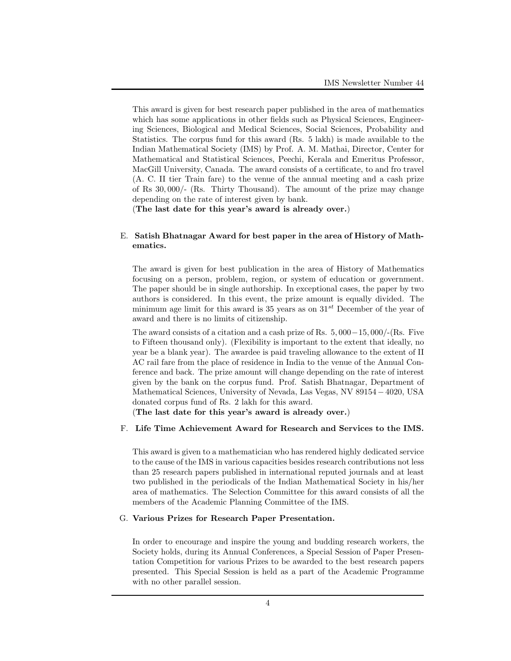This award is given for best research paper published in the area of mathematics which has some applications in other fields such as Physical Sciences, Engineering Sciences, Biological and Medical Sciences, Social Sciences, Probability and Statistics. The corpus fund for this award (Rs. 5 lakh) is made available to the Indian Mathematical Society (IMS) by Prof. A. M. Mathai, Director, Center for Mathematical and Statistical Sciences, Peechi, Kerala and Emeritus Professor, MacGill University, Canada. The award consists of a certificate, to and fro travel (A. C. II tier Train fare) to the venue of the annual meeting and a cash prize of Rs 30, 000/- (Rs. Thirty Thousand). The amount of the prize may change depending on the rate of interest given by bank.

(The last date for this year's award is already over.)

# E. Satish Bhatnagar Award for best paper in the area of History of Mathematics.

The award is given for best publication in the area of History of Mathematics focusing on a person, problem, region, or system of education or government. The paper should be in single authorship. In exceptional cases, the paper by two authors is considered. In this event, the prize amount is equally divided. The minimum age limit for this award is 35 years as on  $31^{st}$  December of the year of award and there is no limits of citizenship.

The award consists of a citation and a cash prize of Rs. 5, 000−15, 000/-(Rs. Five to Fifteen thousand only). (Flexibility is important to the extent that ideally, no year be a blank year). The awardee is paid traveling allowance to the extent of II AC rail fare from the place of residence in India to the venue of the Annual Conference and back. The prize amount will change depending on the rate of interest given by the bank on the corpus fund. Prof. Satish Bhatnagar, Department of Mathematical Sciences, University of Nevada, Las Vegas, NV 89154 −4020, USA donated corpus fund of Rs. 2 lakh for this award.

(The last date for this year's award is already over.)

### F. Life Time Achievement Award for Research and Services to the IMS.

This award is given to a mathematician who has rendered highly dedicated service to the cause of the IMS in various capacities besides research contributions not less than 25 research papers published in international reputed journals and at least two published in the periodicals of the Indian Mathematical Society in his/her area of mathematics. The Selection Committee for this award consists of all the members of the Academic Planning Committee of the IMS.

### G. Various Prizes for Research Paper Presentation.

In order to encourage and inspire the young and budding research workers, the Society holds, during its Annual Conferences, a Special Session of Paper Presentation Competition for various Prizes to be awarded to the best research papers presented. This Special Session is held as a part of the Academic Programme with no other parallel session.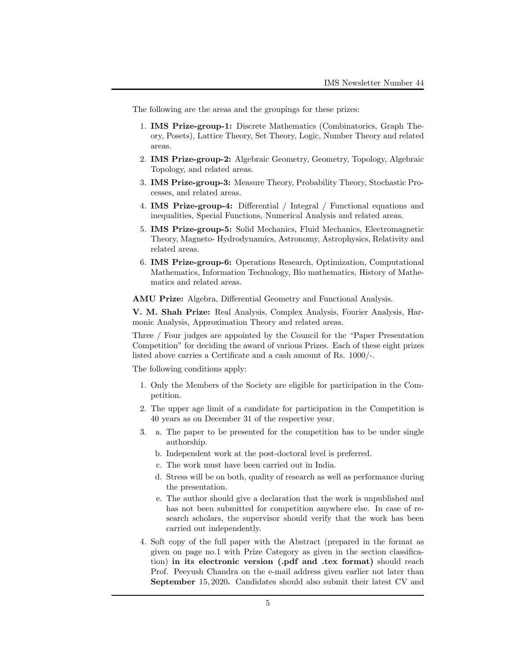The following are the areas and the groupings for these prizes:

- 1. IMS Prize-group-1: Discrete Mathematics (Combinatorics, Graph Theory, Posets), Lattice Theory, Set Theory, Logic, Number Theory and related areas.
- 2. IMS Prize-group-2: Algebraic Geometry, Geometry, Topology, Algebraic Topology, and related areas.
- 3. IMS Prize-group-3: Measure Theory, Probability Theory, Stochastic Processes, and related areas.
- 4. IMS Prize-group-4: Differential / Integral / Functional equations and inequalities, Special Functions, Numerical Analysis and related areas.
- 5. IMS Prize-group-5: Solid Mechanics, Fluid Mechanics, Electromagnetic Theory, Magneto- Hydrodynamics, Astronomy, Astrophysics, Relativity and related areas.
- 6. IMS Prize-group-6: Operations Research, Optimization, Computational Mathematics, Information Technology, Bio mathematics, History of Mathematics and related areas.

AMU Prize: Algebra, Differential Geometry and Functional Analysis.

V. M. Shah Prize: Real Analysis, Complex Analysis, Fourier Analysis, Harmonic Analysis, Approximation Theory and related areas.

Three / Four judges are appointed by the Council for the "Paper Presentation Competition" for deciding the award of various Prizes. Each of these eight prizes listed above carries a Certificate and a cash amount of Rs. 1000/-.

The following conditions apply:

- 1. Only the Members of the Society are eligible for participation in the Competition.
- 2. The upper age limit of a candidate for participation in the Competition is 40 years as on December 31 of the respective year.
- 3. a. The paper to be presented for the competition has to be under single authorship.
	- b. Independent work at the post-doctoral level is preferred.
	- c. The work must have been carried out in India.
	- d. Stress will be on both, quality of research as well as performance during the presentation.
	- e. The author should give a declaration that the work is unpublished and has not been submitted for competition anywhere else. In case of research scholars, the supervisor should verify that the work has been carried out independently.
- 4. Soft copy of the full paper with the Abstract (prepared in the format as given on page no.1 with Prize Category as given in the section classification) in its electronic version (.pdf and .tex format) should reach Prof. Peeyush Chandra on the e-mail address given earlier not later than September 15, 2020. Candidates should also submit their latest CV and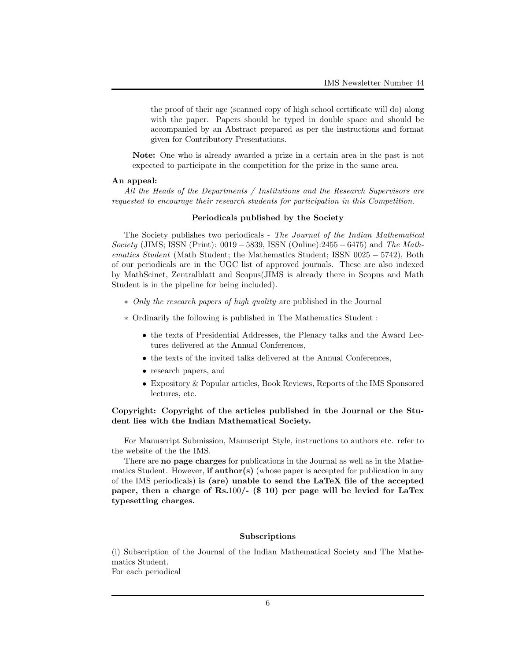the proof of their age (scanned copy of high school certificate will do) along with the paper. Papers should be typed in double space and should be accompanied by an Abstract prepared as per the instructions and format given for Contributory Presentations.

Note: One who is already awarded a prize in a certain area in the past is not expected to participate in the competition for the prize in the same area.

#### An appeal:

All the Heads of the Departments / Institutions and the Research Supervisors are requested to encourage their research students for participation in this Competition.

#### Periodicals published by the Society

The Society publishes two periodicals - The Journal of the Indian Mathematical Society (JIMS; ISSN (Print): 0019 – 5839, ISSN (Online):2455 – 6475) and The Mathematics Student (Math Student; the Mathematics Student; ISSN 0025 − 5742), Both of our periodicals are in the UGC list of approved journals. These are also indexed by MathScinet, Zentralblatt and Scopus(JIMS is already there in Scopus and Math Student is in the pipeline for being included).

- ∗ Only the research papers of high quality are published in the Journal
- ∗ Ordinarily the following is published in The Mathematics Student :
	- the texts of Presidential Addresses, the Plenary talks and the Award Lectures delivered at the Annual Conferences,
	- the texts of the invited talks delivered at the Annual Conferences,
	- research papers, and
	- Expository & Popular articles, Book Reviews, Reports of the IMS Sponsored lectures, etc.

# Copyright: Copyright of the articles published in the Journal or the Student lies with the Indian Mathematical Society.

For Manuscript Submission, Manuscript Style, instructions to authors etc. refer to the website of the the IMS.

There are no page charges for publications in the Journal as well as in the Mathematics Student. However, if  $\text{author}(s)$  (whose paper is accepted for publication in any of the IMS periodicals) is (are) unable to send the LaTeX file of the accepted paper, then a charge of Rs.100/-  $(\$10)$  per page will be levied for LaTex typesetting charges.

### Subscriptions

(i) Subscription of the Journal of the Indian Mathematical Society and The Mathematics Student.

For each periodical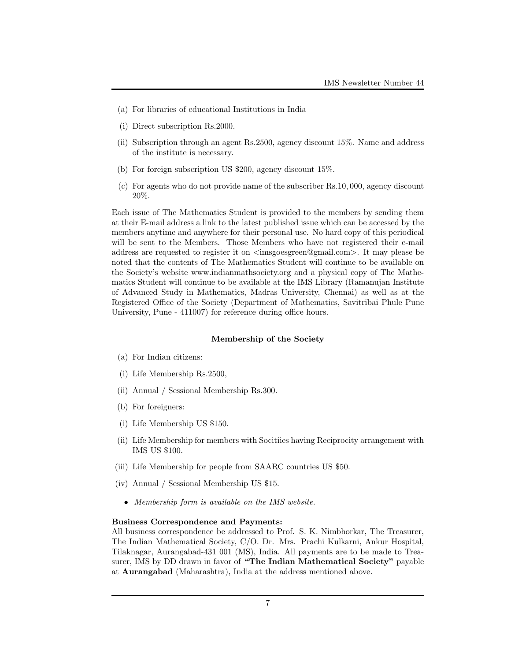- (a) For libraries of educational Institutions in India
- (i) Direct subscription Rs.2000.
- (ii) Subscription through an agent Rs.2500, agency discount 15%. Name and address of the institute is necessary.
- (b) For foreign subscription US \$200, agency discount 15%.
- (c) For agents who do not provide name of the subscriber Rs.10, 000, agency discount 20%.

Each issue of The Mathematics Student is provided to the members by sending them at their E-mail address a link to the latest published issue which can be accessed by the members anytime and anywhere for their personal use. No hard copy of this periodical will be sent to the Members. Those Members who have not registered their e-mail address are requested to register it on  $\langle\text{images}$  regional.com>. It may please be noted that the contents of The Mathematics Student will continue to be available on the Society's website www.indianmathsociety.org and a physical copy of The Mathematics Student will continue to be available at the IMS Library (Ramanujan Institute of Advanced Study in Mathematics, Madras University, Chennai) as well as at the Registered Office of the Society (Department of Mathematics, Savitribai Phule Pune University, Pune - 411007) for reference during office hours.

#### Membership of the Society

- (a) For Indian citizens:
- (i) Life Membership Rs.2500,
- (ii) Annual / Sessional Membership Rs.300.
- (b) For foreigners:
- (i) Life Membership US \$150.
- (ii) Life Membership for members with Socitiies having Reciprocity arrangement with IMS US \$100.
- (iii) Life Membership for people from SAARC countries US \$50.
- (iv) Annual / Sessional Membership US \$15.
	- Membership form is available on the IMS website.

#### Business Correspondence and Payments:

All business correspondence be addressed to Prof. S. K. Nimbhorkar, The Treasurer, The Indian Mathematical Society, C/O. Dr. Mrs. Prachi Kulkarni, Ankur Hospital, Tilaknagar, Aurangabad-431 001 (MS), India. All payments are to be made to Treasurer, IMS by DD drawn in favor of "The Indian Mathematical Society" payable at Aurangabad (Maharashtra), India at the address mentioned above.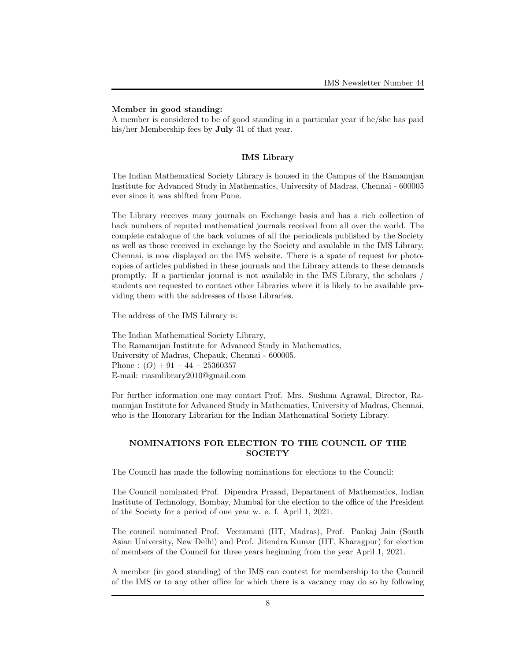### Member in good standing:

A member is considered to be of good standing in a particular year if he/she has paid his/her Membership fees by July 31 of that year.

### IMS Library

The Indian Mathematical Society Library is housed in the Campus of the Ramanujan Institute for Advanced Study in Mathematics, University of Madras, Chennai - 600005 ever since it was shifted from Pune.

The Library receives many journals on Exchange basis and has a rich collection of back numbers of reputed mathematical journals received from all over the world. The complete catalogue of the back volumes of all the periodicals published by the Society as well as those received in exchange by the Society and available in the IMS Library, Chennai, is now displayed on the IMS website. There is a spate of request for photocopies of articles published in these journals and the Library attends to these demands promptly. If a particular journal is not available in the IMS Library, the scholars / students are requested to contact other Libraries where it is likely to be available providing them with the addresses of those Libraries.

The address of the IMS Library is:

The Indian Mathematical Society Library, The Ramanujan Institute for Advanced Study in Mathematics, University of Madras, Chepauk, Chennai - 600005. Phone :  $(O) + 91 - 44 - 25360357$ E-mail: riasmlibrary2010@gmail.com

For further information one may contact Prof. Mrs. Sushma Agrawal, Director, Ramanujan Institute for Advanced Study in Mathematics, University of Madras, Chennai, who is the Honorary Librarian for the Indian Mathematical Society Library.

### NOMINATIONS FOR ELECTION TO THE COUNCIL OF THE **SOCIETY**

The Council has made the following nominations for elections to the Council:

The Council nominated Prof. Dipendra Prasad, Department of Mathematics, Indian Institute of Technology, Bombay, Mumbai for the election to the office of the President of the Society for a period of one year w. e. f. April 1, 2021.

The council nominated Prof. Veeramani (IIT, Madras), Prof. Pankaj Jain (South Asian University, New Delhi) and Prof. Jitendra Kumar (IIT, Kharagpur) for election of members of the Council for three years beginning from the year April 1, 2021.

A member (in good standing) of the IMS can contest for membership to the Council of the IMS or to any other office for which there is a vacancy may do so by following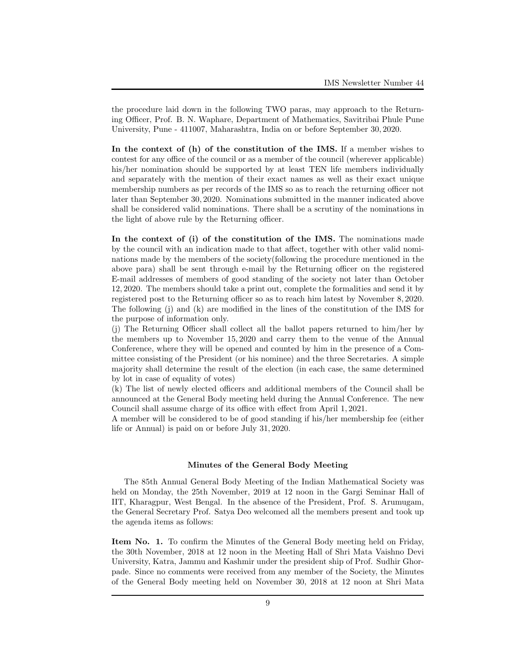the procedure laid down in the following TWO paras, may approach to the Returning Officer, Prof. B. N. Waphare, Department of Mathematics, Savitribai Phule Pune University, Pune - 411007, Maharashtra, India on or before September 30, 2020.

In the context of (h) of the constitution of the IMS. If a member wishes to contest for any office of the council or as a member of the council (wherever applicable) his/her nomination should be supported by at least TEN life members individually and separately with the mention of their exact names as well as their exact unique membership numbers as per records of the IMS so as to reach the returning officer not later than September 30, 2020. Nominations submitted in the manner indicated above shall be considered valid nominations. There shall be a scrutiny of the nominations in the light of above rule by the Returning officer.

In the context of (i) of the constitution of the IMS. The nominations made by the council with an indication made to that affect, together with other valid nominations made by the members of the society(following the procedure mentioned in the above para) shall be sent through e-mail by the Returning officer on the registered E-mail addresses of members of good standing of the society not later than October 12, 2020. The members should take a print out, complete the formalities and send it by registered post to the Returning officer so as to reach him latest by November 8, 2020. The following (j) and (k) are modified in the lines of the constitution of the IMS for the purpose of information only.

(j) The Returning Officer shall collect all the ballot papers returned to him/her by the members up to November 15, 2020 and carry them to the venue of the Annual Conference, where they will be opened and counted by him in the presence of a Committee consisting of the President (or his nominee) and the three Secretaries. A simple majority shall determine the result of the election (in each case, the same determined by lot in case of equality of votes)

(k) The list of newly elected officers and additional members of the Council shall be announced at the General Body meeting held during the Annual Conference. The new Council shall assume charge of its office with effect from April 1, 2021.

A member will be considered to be of good standing if his/her membership fee (either life or Annual) is paid on or before July 31, 2020.

### Minutes of the General Body Meeting

The 85th Annual General Body Meeting of the Indian Mathematical Society was held on Monday, the 25th November, 2019 at 12 noon in the Gargi Seminar Hall of IIT, Kharagpur, West Bengal. In the absence of the President, Prof. S. Arumugam, the General Secretary Prof. Satya Deo welcomed all the members present and took up the agenda items as follows:

Item No. 1. To confirm the Minutes of the General Body meeting held on Friday, the 30th November, 2018 at 12 noon in the Meeting Hall of Shri Mata Vaishno Devi University, Katra, Jammu and Kashmir under the president ship of Prof. Sudhir Ghorpade. Since no comments were received from any member of the Society, the Minutes of the General Body meeting held on November 30, 2018 at 12 noon at Shri Mata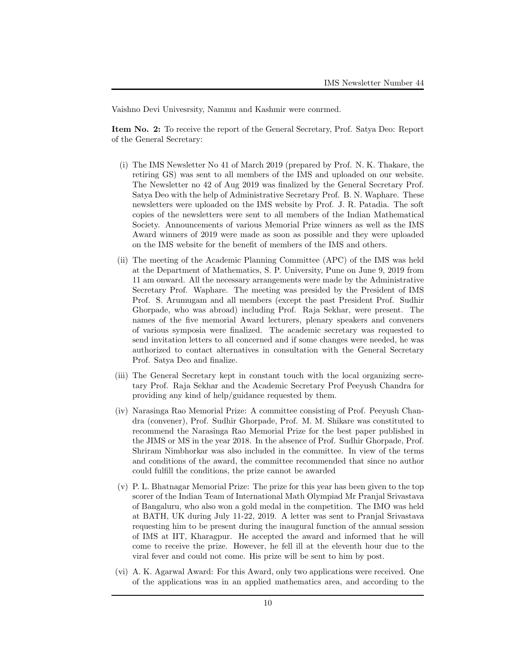Vaishno Devi Univesrsity, Nammu and Kashmir were conrmed.

Item No. 2: To receive the report of the General Secretary, Prof. Satya Deo: Report of the General Secretary:

- (i) The IMS Newsletter No 41 of March 2019 (prepared by Prof. N. K. Thakare, the retiring GS) was sent to all members of the IMS and uploaded on our website. The Newsletter no 42 of Aug 2019 was finalized by the General Secretary Prof. Satya Deo with the help of Administrative Secretary Prof. B. N. Waphare. These newsletters were uploaded on the IMS website by Prof. J. R. Patadia. The soft copies of the newsletters were sent to all members of the Indian Mathematical Society. Announcements of various Memorial Prize winners as well as the IMS Award winners of 2019 were made as soon as possible and they were uploaded on the IMS website for the benefit of members of the IMS and others.
- (ii) The meeting of the Academic Planning Committee (APC) of the IMS was held at the Department of Mathematics, S. P. University, Pune on June 9, 2019 from 11 am onward. All the necessary arrangements were made by the Administrative Secretary Prof. Waphare. The meeting was presided by the President of IMS Prof. S. Arumugam and all members (except the past President Prof. Sudhir Ghorpade, who was abroad) including Prof. Raja Sekhar, were present. The names of the five memorial Award lecturers, plenary speakers and conveners of various symposia were finalized. The academic secretary was requested to send invitation letters to all concerned and if some changes were needed, he was authorized to contact alternatives in consultation with the General Secretary Prof. Satya Deo and finalize.
- (iii) The General Secretary kept in constant touch with the local organizing secretary Prof. Raja Sekhar and the Academic Secretary Prof Peeyush Chandra for providing any kind of help/guidance requested by them.
- (iv) Narasinga Rao Memorial Prize: A committee consisting of Prof. Peeyush Chandra (convener), Prof. Sudhir Ghorpade, Prof. M. M. Shikare was constituted to recommend the Narasinga Rao Memorial Prize for the best paper published in the JIMS or MS in the year 2018. In the absence of Prof. Sudhir Ghorpade, Prof. Shriram Nimbhorkar was also included in the committee. In view of the terms and conditions of the award, the committee recommended that since no author could fulfill the conditions, the prize cannot be awarded
- (v) P. L. Bhatnagar Memorial Prize: The prize for this year has been given to the top scorer of the Indian Team of International Math Olympiad Mr Pranjal Srivastava of Bangaluru, who also won a gold medal in the competition. The IMO was held at BATH, UK during July 11-22, 2019. A letter was sent to Pranjal Srivastava requesting him to be present during the inaugural function of the annual session of IMS at IIT, Kharagpur. He accepted the award and informed that he will come to receive the prize. However, he fell ill at the eleventh hour due to the viral fever and could not come. His prize will be sent to him by post.
- (vi) A. K. Agarwal Award: For this Award, only two applications were received. One of the applications was in an applied mathematics area, and according to the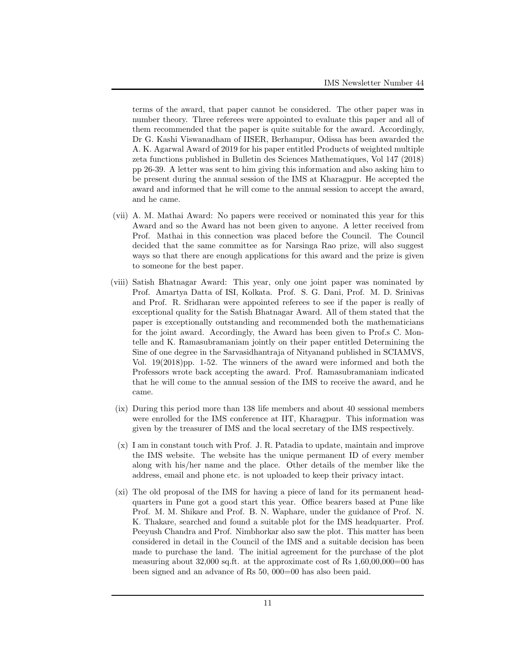terms of the award, that paper cannot be considered. The other paper was in number theory. Three referees were appointed to evaluate this paper and all of them recommended that the paper is quite suitable for the award. Accordingly, Dr G. Kashi Viswanadham of IISER, Berhampur, Odissa has been awarded the A. K. Agarwal Award of 2019 for his paper entitled Products of weighted multiple zeta functions published in Bulletin des Sciences Mathematiques, Vol 147 (2018) pp 26-39. A letter was sent to him giving this information and also asking him to be present during the annual session of the IMS at Kharagpur. He accepted the award and informed that he will come to the annual session to accept the award, and he came.

- (vii) A. M. Mathai Award: No papers were received or nominated this year for this Award and so the Award has not been given to anyone. A letter received from Prof. Mathai in this connection was placed before the Council. The Council decided that the same committee as for Narsinga Rao prize, will also suggest ways so that there are enough applications for this award and the prize is given to someone for the best paper.
- (viii) Satish Bhatnagar Award: This year, only one joint paper was nominated by Prof. Amartya Datta of ISI, Kolkata. Prof. S. G. Dani, Prof. M. D. Srinivas and Prof. R. Sridharan were appointed referees to see if the paper is really of exceptional quality for the Satish Bhatnagar Award. All of them stated that the paper is exceptionally outstanding and recommended both the mathematicians for the joint award. Accordingly, the Award has been given to Prof.s C. Montelle and K. Ramasubramaniam jointly on their paper entitled Determining the Sine of one degree in the Sarvasidhantraja of Nityanand published in SCIAMVS, Vol. 19(2018)pp. 1-52. The winners of the award were informed and both the Professors wrote back accepting the award. Prof. Ramasubramaniam indicated that he will come to the annual session of the IMS to receive the award, and he came.
- (ix) During this period more than 138 life members and about 40 sessional members were enrolled for the IMS conference at IIT, Kharagpur. This information was given by the treasurer of IMS and the local secretary of the IMS respectively.
- (x) I am in constant touch with Prof. J. R. Patadia to update, maintain and improve the IMS website. The website has the unique permanent ID of every member along with his/her name and the place. Other details of the member like the address, email and phone etc. is not uploaded to keep their privacy intact.
- (xi) The old proposal of the IMS for having a piece of land for its permanent headquarters in Pune got a good start this year. Office bearers based at Pune like Prof. M. M. Shikare and Prof. B. N. Waphare, under the guidance of Prof. N. K. Thakare, searched and found a suitable plot for the IMS headquarter. Prof. Peeyush Chandra and Prof. Nimbhorkar also saw the plot. This matter has been considered in detail in the Council of the IMS and a suitable decision has been made to purchase the land. The initial agreement for the purchase of the plot measuring about  $32,000$  sq.ft. at the approximate cost of Rs  $1,60,00,000=00$  has been signed and an advance of Rs 50, 000=00 has also been paid.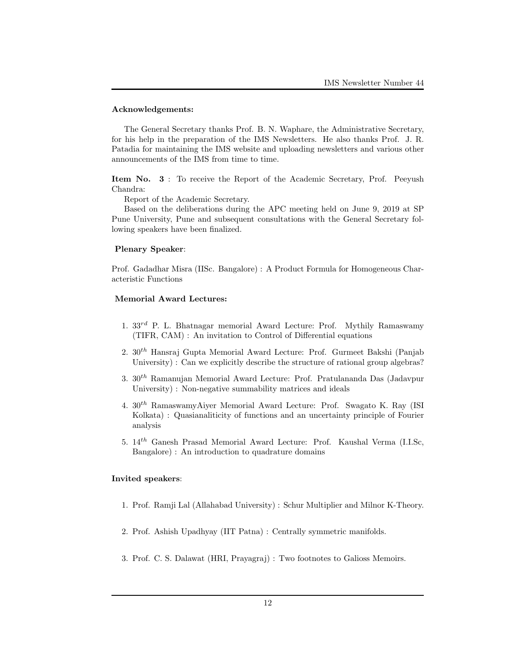### Acknowledgements:

The General Secretary thanks Prof. B. N. Waphare, the Administrative Secretary, for his help in the preparation of the IMS Newsletters. He also thanks Prof. J. R. Patadia for maintaining the IMS website and uploading newsletters and various other announcements of the IMS from time to time.

Item No. 3 : To receive the Report of the Academic Secretary, Prof. Peeyush Chandra:

Report of the Academic Secretary.

Based on the deliberations during the APC meeting held on June 9, 2019 at SP Pune University, Pune and subsequent consultations with the General Secretary following speakers have been finalized.

#### Plenary Speaker:

Prof. Gadadhar Misra (IISc. Bangalore) : A Product Formula for Homogeneous Characteristic Functions

### Memorial Award Lectures:

- 1.  $33^{rd}$  P. L. Bhatnagar memorial Award Lecture: Prof. Mythily Ramaswamy (TIFR, CAM) : An invitation to Control of Differential equations
- 2.  $30<sup>th</sup>$  Hansraj Gupta Memorial Award Lecture: Prof. Gurmeet Bakshi (Panjab University) : Can we explicitly describe the structure of rational group algebras?
- 3.  $30<sup>th</sup>$  Ramanujan Memorial Award Lecture: Prof. Pratulananda Das (Jadavpur University) : Non-negative summability matrices and ideals
- 4.  $30<sup>th</sup>$  RamaswamyAiyer Memorial Award Lecture: Prof. Swagato K. Ray (ISI Kolkata) : Quasianaliticity of functions and an uncertainty principle of Fourier analysis
- 5. 14th Ganesh Prasad Memorial Award Lecture: Prof. Kaushal Verma (I.I.Sc, Bangalore) : An introduction to quadrature domains

#### Invited speakers:

- 1. Prof. Ramji Lal (Allahabad University) : Schur Multiplier and Milnor K-Theory.
- 2. Prof. Ashish Upadhyay (IIT Patna) : Centrally symmetric manifolds.
- 3. Prof. C. S. Dalawat (HRI, Prayagraj) : Two footnotes to Galioss Memoirs.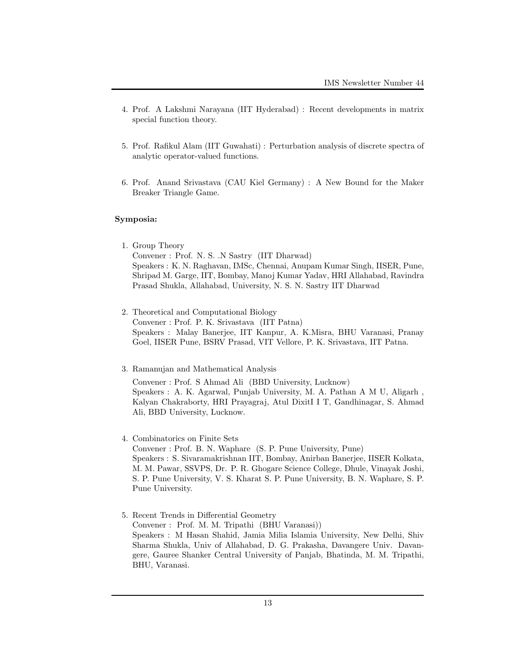- 4. Prof. A Lakshmi Narayana (IIT Hyderabad) : Recent developments in matrix special function theory.
- 5. Prof. Rafikul Alam (IIT Guwahati) : Perturbation analysis of discrete spectra of analytic operator-valued functions.
- 6. Prof. Anand Srivastava (CAU Kiel Germany) : A New Bound for the Maker Breaker Triangle Game.

### Symposia:

- 1. Group Theory Convener : Prof. N. S. .N Sastry (IIT Dharwad) Speakers : K. N. Raghavan, IMSc, Chennai, Anupam Kumar Singh, IISER, Pune, Shripad M. Garge, IIT, Bombay, Manoj Kumar Yadav, HRI Allahabad, Ravindra Prasad Shukla, Allahabad, University, N. S. N. Sastry IIT Dharwad
- 2. Theoretical and Computational Biology Convener : Prof. P. K. Srivastava (IIT Patna) Speakers : Malay Banerjee, IIT Kanpur, A. K.Misra, BHU Varanasi, Pranay Goel, IISER Pune, BSRV Prasad, VIT Vellore, P. K. Srivastava, IIT Patna.
- 3. Ramanujan and Mathematical Analysis

Convener : Prof. S Ahmad Ali (BBD University, Lucknow) Speakers : A. K. Agarwal, Punjab University, M. A. Pathan A M U, Aligarh , Kalyan Chakraborty, HRI Prayagraj, Atul DixitI I T, Gandhinagar, S. Ahmad Ali, BBD University, Lucknow.

4. Combinatorics on Finite Sets

Convener : Prof. B. N. Waphare (S. P. Pune University, Pune) Speakers : S. Sivaramakrishnan IIT, Bombay, Anirban Banerjee, IISER Kolkata, M. M. Pawar, SSVPS, Dr. P. R. Ghogare Science College, Dhule, Vinayak Joshi, S. P. Pune University, V. S. Kharat S. P. Pune University, B. N. Waphare, S. P. Pune University.

5. Recent Trends in Differential Geometry Convener : Prof. M. M. Tripathi (BHU Varanasi)) Speakers : M Hasan Shahid, Jamia Milia Islamia University, New Delhi, Shiv Sharma Shukla, Univ of Allahabad, D. G. Prakasha, Davangere Univ. Davangere, Gauree Shanker Central University of Panjab, Bhatinda, M. M. Tripathi, BHU, Varanasi.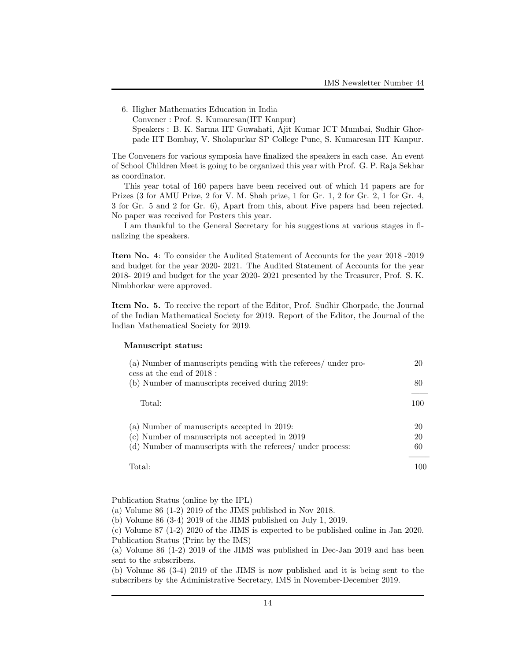6. Higher Mathematics Education in India Convener : Prof. S. Kumaresan(IIT Kanpur) Speakers : B. K. Sarma IIT Guwahati, Ajit Kumar ICT Mumbai, Sudhir Ghorpade IIT Bombay, V. Sholapurkar SP College Pune, S. Kumaresan IIT Kanpur.

The Conveners for various symposia have finalized the speakers in each case. An event of School Children Meet is going to be organized this year with Prof. G. P. Raja Sekhar as coordinator.

This year total of 160 papers have been received out of which 14 papers are for Prizes (3 for AMU Prize, 2 for V. M. Shah prize, 1 for Gr. 1, 2 for Gr. 2, 1 for Gr. 4, 3 for Gr. 5 and 2 for Gr. 6), Apart from this, about Five papers had been rejected. No paper was received for Posters this year.

I am thankful to the General Secretary for his suggestions at various stages in finalizing the speakers.

Item No. 4: To consider the Audited Statement of Accounts for the year 2018 -2019 and budget for the year 2020- 2021. The Audited Statement of Accounts for the year 2018- 2019 and budget for the year 2020- 2021 presented by the Treasurer, Prof. S. K. Nimbhorkar were approved.

Item No. 5. To receive the report of the Editor, Prof. Sudhir Ghorpade, the Journal of the Indian Mathematical Society for 2019. Report of the Editor, the Journal of the Indian Mathematical Society for 2019.

#### Manuscript status:

| (a) Number of manuscripts pending with the referees/ under pro-<br>cess at the end of $2018$ : | 20  |
|------------------------------------------------------------------------------------------------|-----|
| (b) Number of manuscripts received during 2019:                                                | 80  |
| Total:                                                                                         | 100 |
| (a) Number of manuscripts accepted in 2019:                                                    | 20  |
| (c) Number of manuscripts not accepted in 2019                                                 | 20  |
| (d) Number of manuscripts with the referees/ under process:                                    | 60  |
| Total:                                                                                         | 100 |

Publication Status (online by the IPL)

(a) Volume 86 (1-2) 2019 of the JIMS published in Nov 2018.

(b) Volume 86 (3-4) 2019 of the JIMS published on July 1, 2019.

(c) Volume 87 (1-2) 2020 of the JIMS is expected to be published online in Jan 2020. Publication Status (Print by the IMS)

(a) Volume 86 (1-2) 2019 of the JIMS was published in Dec-Jan 2019 and has been sent to the subscribers.

(b) Volume 86 (3-4) 2019 of the JIMS is now published and it is being sent to the subscribers by the Administrative Secretary, IMS in November-December 2019.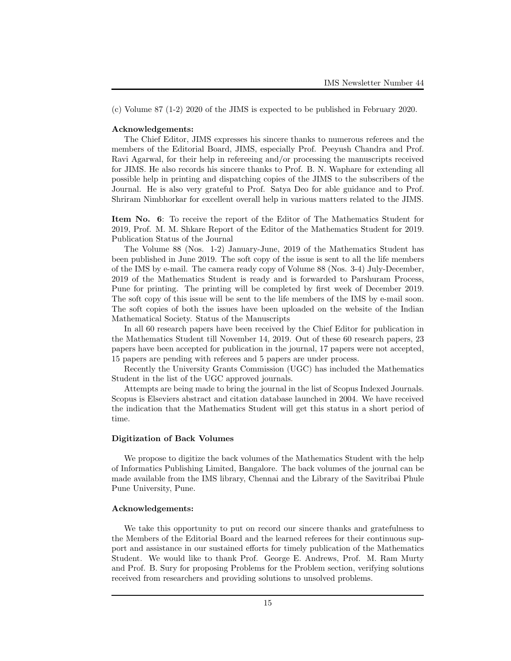(c) Volume 87 (1-2) 2020 of the JIMS is expected to be published in February 2020.

#### Acknowledgements:

The Chief Editor, JIMS expresses his sincere thanks to numerous referees and the members of the Editorial Board, JIMS, especially Prof. Peeyush Chandra and Prof. Ravi Agarwal, for their help in refereeing and/or processing the manuscripts received for JIMS. He also records his sincere thanks to Prof. B. N. Waphare for extending all possible help in printing and dispatching copies of the JIMS to the subscribers of the Journal. He is also very grateful to Prof. Satya Deo for able guidance and to Prof. Shriram Nimbhorkar for excellent overall help in various matters related to the JIMS.

Item No. 6: To receive the report of the Editor of The Mathematics Student for 2019, Prof. M. M. Shkare Report of the Editor of the Mathematics Student for 2019. Publication Status of the Journal

The Volume 88 (Nos. 1-2) January-June, 2019 of the Mathematics Student has been published in June 2019. The soft copy of the issue is sent to all the life members of the IMS by e-mail. The camera ready copy of Volume 88 (Nos. 3-4) July-December, 2019 of the Mathematics Student is ready and is forwarded to Parshuram Process, Pune for printing. The printing will be completed by first week of December 2019. The soft copy of this issue will be sent to the life members of the IMS by e-mail soon. The soft copies of both the issues have been uploaded on the website of the Indian Mathematical Society. Status of the Manuscripts

In all 60 research papers have been received by the Chief Editor for publication in the Mathematics Student till November 14, 2019. Out of these 60 research papers, 23 papers have been accepted for publication in the journal, 17 papers were not accepted, 15 papers are pending with referees and 5 papers are under process.

Recently the University Grants Commission (UGC) has included the Mathematics Student in the list of the UGC approved journals.

Attempts are being made to bring the journal in the list of Scopus Indexed Journals. Scopus is Elseviers abstract and citation database launched in 2004. We have received the indication that the Mathematics Student will get this status in a short period of time.

#### Digitization of Back Volumes

We propose to digitize the back volumes of the Mathematics Student with the help of Informatics Publishing Limited, Bangalore. The back volumes of the journal can be made available from the IMS library, Chennai and the Library of the Savitribai Phule Pune University, Pune.

#### Acknowledgements:

We take this opportunity to put on record our sincere thanks and gratefulness to the Members of the Editorial Board and the learned referees for their continuous support and assistance in our sustained efforts for timely publication of the Mathematics Student. We would like to thank Prof. George E. Andrews, Prof. M. Ram Murty and Prof. B. Sury for proposing Problems for the Problem section, verifying solutions received from researchers and providing solutions to unsolved problems.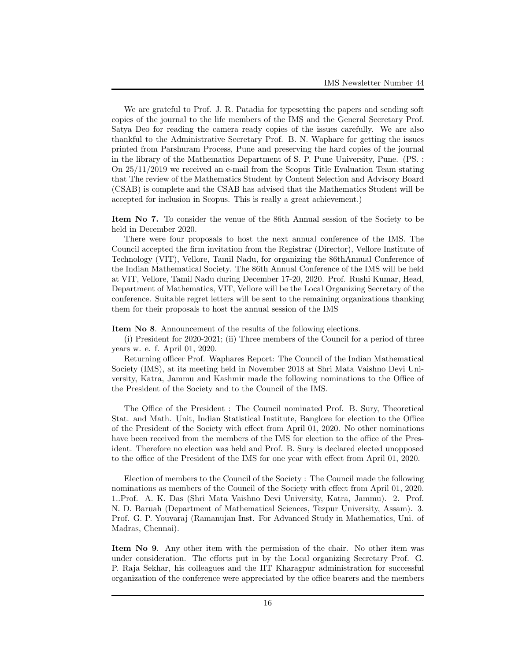We are grateful to Prof. J. R. Patadia for typesetting the papers and sending soft copies of the journal to the life members of the IMS and the General Secretary Prof. Satya Deo for reading the camera ready copies of the issues carefully. We are also thankful to the Administrative Secretary Prof. B. N. Waphare for getting the issues printed from Parshuram Process, Pune and preserving the hard copies of the journal in the library of the Mathematics Department of S. P. Pune University, Pune. (PS. : On 25/11/2019 we received an e-mail from the Scopus Title Evaluation Team stating that The review of the Mathematics Student by Content Selection and Advisory Board (CSAB) is complete and the CSAB has advised that the Mathematics Student will be accepted for inclusion in Scopus. This is really a great achievement.)

Item No 7. To consider the venue of the 86th Annual session of the Society to be held in December 2020.

There were four proposals to host the next annual conference of the IMS. The Council accepted the firm invitation from the Registrar (Director), Vellore Institute of Technology (VIT), Vellore, Tamil Nadu, for organizing the 86thAnnual Conference of the Indian Mathematical Society. The 86th Annual Conference of the IMS will be held at VIT, Vellore, Tamil Nadu during December 17-20, 2020. Prof. Rushi Kumar, Head, Department of Mathematics, VIT, Vellore will be the Local Organizing Secretary of the conference. Suitable regret letters will be sent to the remaining organizations thanking them for their proposals to host the annual session of the IMS

Item No 8. Announcement of the results of the following elections.

(i) President for 2020-2021; (ii) Three members of the Council for a period of three years w. e. f. April 01, 2020.

Returning officer Prof. Waphares Report: The Council of the Indian Mathematical Society (IMS), at its meeting held in November 2018 at Shri Mata Vaishno Devi University, Katra, Jammu and Kashmir made the following nominations to the Office of the President of the Society and to the Council of the IMS.

The Office of the President : The Council nominated Prof. B. Sury, Theoretical Stat. and Math. Unit, Indian Statistical Institute, Banglore for election to the Office of the President of the Society with effect from April 01, 2020. No other nominations have been received from the members of the IMS for election to the office of the President. Therefore no election was held and Prof. B. Sury is declared elected unopposed to the office of the President of the IMS for one year with effect from April 01, 2020.

Election of members to the Council of the Society : The Council made the following nominations as members of the Council of the Society with effect from April 01, 2020. 1..Prof. A. K. Das (Shri Mata Vaishno Devi University, Katra, Jammu). 2. Prof. N. D. Baruah (Department of Mathematical Sciences, Tezpur University, Assam). 3. Prof. G. P. Youvaraj (Ramanujan Inst. For Advanced Study in Mathematics, Uni. of Madras, Chennai).

Item No 9. Any other item with the permission of the chair. No other item was under consideration. The efforts put in by the Local organizing Secretary Prof. G. P. Raja Sekhar, his colleagues and the IIT Kharagpur administration for successful organization of the conference were appreciated by the office bearers and the members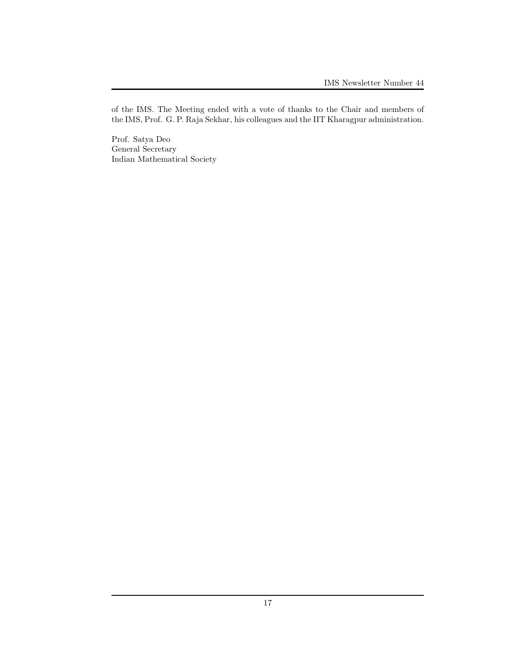of the IMS. The Meeting ended with a vote of thanks to the Chair and members of the IMS, Prof. G. P. Raja Sekhar, his colleagues and the IIT Kharagpur administration.

Prof. Satya Deo General Secretary Indian Mathematical Society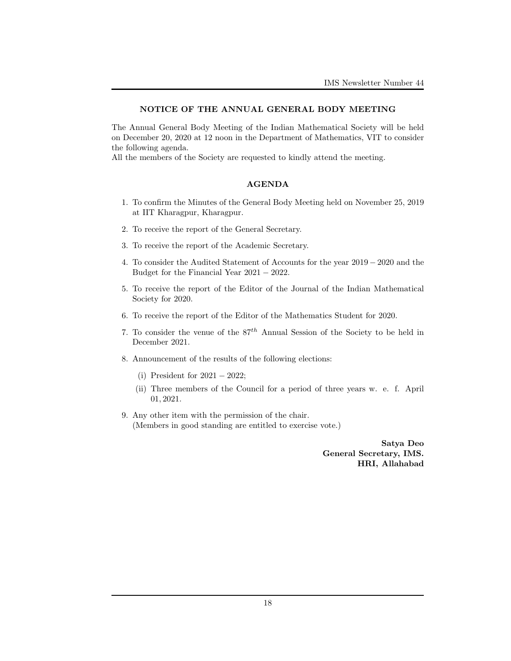### NOTICE OF THE ANNUAL GENERAL BODY MEETING

The Annual General Body Meeting of the Indian Mathematical Society will be held on December 20, 2020 at 12 noon in the Department of Mathematics, VIT to consider the following agenda.

All the members of the Society are requested to kindly attend the meeting.

### AGENDA

- 1. To confirm the Minutes of the General Body Meeting held on November 25, 2019 at IIT Kharagpur, Kharagpur.
- 2. To receive the report of the General Secretary.
- 3. To receive the report of the Academic Secretary.
- 4. To consider the Audited Statement of Accounts for the year 2019 − 2020 and the Budget for the Financial Year 2021 − 2022.
- 5. To receive the report of the Editor of the Journal of the Indian Mathematical Society for 2020.
- 6. To receive the report of the Editor of the Mathematics Student for 2020.
- 7. To consider the venue of the  $87<sup>th</sup>$  Annual Session of the Society to be held in December 2021.
- 8. Announcement of the results of the following elections:
	- (i) President for 2021 − 2022;
	- (ii) Three members of the Council for a period of three years w. e. f. April 01, 2021.
- 9. Any other item with the permission of the chair. (Members in good standing are entitled to exercise vote.)

Satya Deo General Secretary, IMS. HRI, Allahabad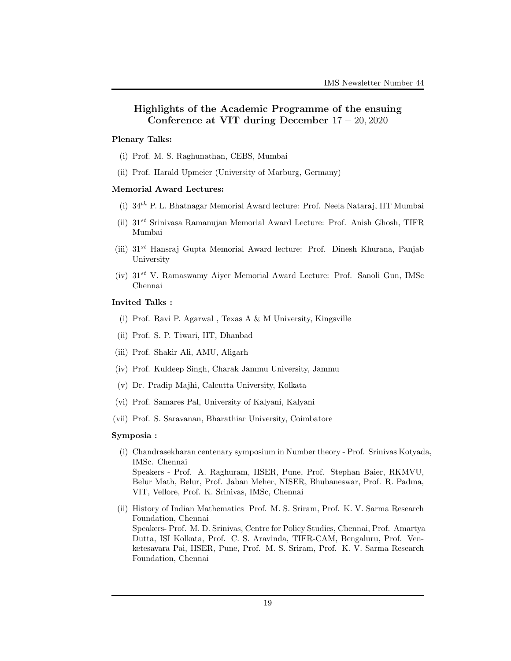# Highlights of the Academic Programme of the ensuing Conference at VIT during December 17 − 20, 2020

#### Plenary Talks:

- (i) Prof. M. S. Raghunathan, CEBS, Mumbai
- (ii) Prof. Harald Upmeier (University of Marburg, Germany)

#### Memorial Award Lectures:

- (i)  $34<sup>th</sup>$  P. L. Bhatnagar Memorial Award lecture: Prof. Neela Nataraj, IIT Mumbai
- (ii) 31st Srinivasa Ramanujan Memorial Award Lecture: Prof. Anish Ghosh, TIFR Mumbai
- (iii)  $31^{st}$  Hansraj Gupta Memorial Award lecture: Prof. Dinesh Khurana, Panjab University
- (iv)  $31^{st}$  V. Ramaswamy Aiyer Memorial Award Lecture: Prof. Sanoli Gun, IMSc Chennai

# Invited Talks :

- (i) Prof. Ravi P. Agarwal , Texas A & M University, Kingsville
- (ii) Prof. S. P. Tiwari, IIT, Dhanbad
- (iii) Prof. Shakir Ali, AMU, Aligarh
- (iv) Prof. Kuldeep Singh, Charak Jammu University, Jammu
- (v) Dr. Pradip Majhi, Calcutta University, Kolkata
- (vi) Prof. Samares Pal, University of Kalyani, Kalyani
- (vii) Prof. S. Saravanan, Bharathiar University, Coimbatore

#### Symposia :

- (i) Chandrasekharan centenary symposium in Number theory Prof. Srinivas Kotyada, IMSc. Chennai Speakers - Prof. A. Raghuram, IISER, Pune, Prof. Stephan Baier, RKMVU, Belur Math, Belur, Prof. Jaban Meher, NISER, Bhubaneswar, Prof. R. Padma, VIT, Vellore, Prof. K. Srinivas, IMSc, Chennai
- (ii) History of Indian Mathematics Prof. M. S. Sriram, Prof. K. V. Sarma Research Foundation, Chennai Speakers- Prof. M. D. Srinivas, Centre for Policy Studies, Chennai, Prof. Amartya Dutta, ISI Kolkata, Prof. C. S. Aravinda, TIFR-CAM, Bengaluru, Prof. Venketesavara Pai, IISER, Pune, Prof. M. S. Sriram, Prof. K. V. Sarma Research Foundation, Chennai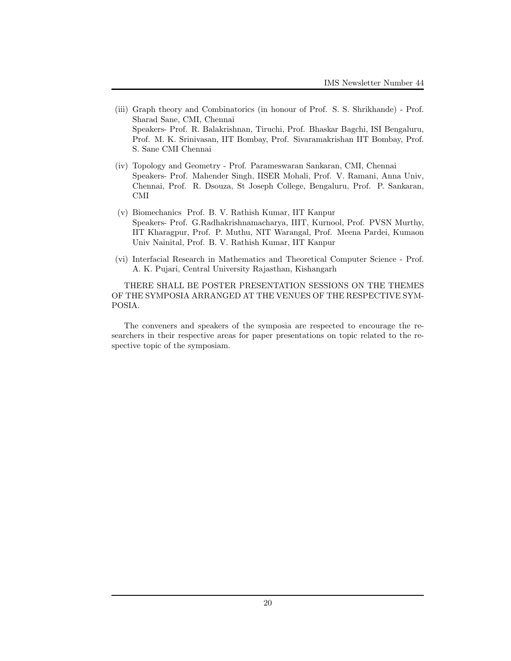- (iii) Graph theory and Combinatorics (in honour of Prof. S. S. Shrikhande) Prof. Sharad Sane, CMI, Chennai Speakers- Prof. R. Balakrishnan, Tiruchi, Prof. Bhaskar Bagchi, ISI Bengaluru, Prof. M. K. Srinivasan, IIT Bombay, Prof. Sivaramakrishan IIT Bombay, Prof. S. Sane CMI Chennai
- (iv) Topology and Geometry Prof. Parameswaran Sankaran, CMI, Chennai Speakers- Prof. Mahender Singh, IISER Mohali, Prof. V. Ramani, Anna Univ, Chennai, Prof. R. Dsouza, St Joseph College, Bengaluru, Prof. P. Sankaran, CMI
- (v) Biomechanics Prof. B. V. Rathish Kumar, IIT Kanpur Speakers- Prof. G.Radhakrishnamacharya, IIIT, Kurnool, Prof. PVSN Murthy, IIT Kharagpur, Prof. P. Muthu, NIT Warangal, Prof. Meena Pardei, Kumaon Univ Nainital, Prof. B. V. Rathish Kumar, IIT Kanpur
- (vi) Interfacial Research in Mathematics and Theoretical Computer Science Prof. A. K. Pujari, Central University Rajasthan, Kishangarh

THERE SHALL BE POSTER PRESENTATION SESSIONS ON THE THEMES OF THE SYMPOSIA ARRANGED AT THE VENUES OF THE RESPECTIVE SYM-POSIA.

The conveners and speakers of the symposia are respected to encourage the researchers in their respective areas for paper presentations on topic related to the respective topic of the symposiam.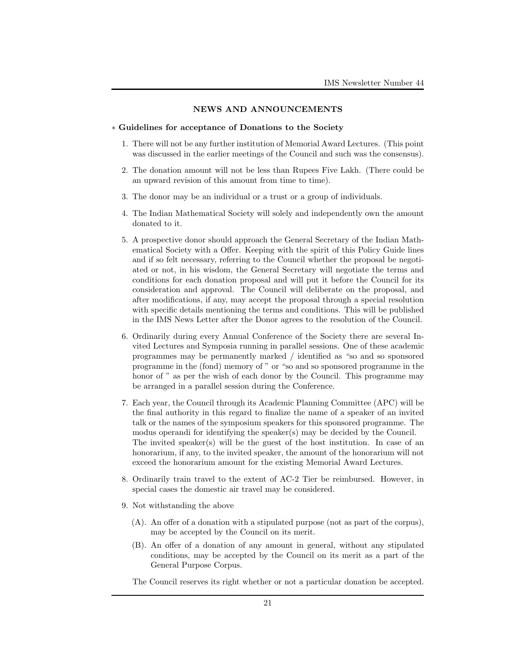#### NEWS AND ANNOUNCEMENTS

#### ∗ Guidelines for acceptance of Donations to the Society

- 1. There will not be any further institution of Memorial Award Lectures. (This point was discussed in the earlier meetings of the Council and such was the consensus).
- 2. The donation amount will not be less than Rupees Five Lakh. (There could be an upward revision of this amount from time to time).
- 3. The donor may be an individual or a trust or a group of individuals.
- 4. The Indian Mathematical Society will solely and independently own the amount donated to it.
- 5. A prospective donor should approach the General Secretary of the Indian Mathematical Society with a Offer. Keeping with the spirit of this Policy Guide lines and if so felt necessary, referring to the Council whether the proposal be negotiated or not, in his wisdom, the General Secretary will negotiate the terms and conditions for each donation proposal and will put it before the Council for its consideration and approval. The Council will deliberate on the proposal, and after modifications, if any, may accept the proposal through a special resolution with specific details mentioning the terms and conditions. This will be published in the IMS News Letter after the Donor agrees to the resolution of the Council.
- 6. Ordinarily during every Annual Conference of the Society there are several Invited Lectures and Symposia running in parallel sessions. One of these academic programmes may be permanently marked / identified as "so and so sponsored programme in the (fond) memory of " or "so and so sponsored programme in the honor of " as per the wish of each donor by the Council. This programme may be arranged in a parallel session during the Conference.
- 7. Each year, the Council through its Academic Planning Committee (APC) will be the final authority in this regard to finalize the name of a speaker of an invited talk or the names of the symposium speakers for this sponsored programme. The modus operandi for identifying the speaker(s) may be decided by the Council. The invited speaker(s) will be the guest of the host institution. In case of an honorarium, if any, to the invited speaker, the amount of the honorarium will not exceed the honorarium amount for the existing Memorial Award Lectures.
- 8. Ordinarily train travel to the extent of AC-2 Tier be reimbursed. However, in special cases the domestic air travel may be considered.
- 9. Not withstanding the above
	- (A). An offer of a donation with a stipulated purpose (not as part of the corpus), may be accepted by the Council on its merit.
	- (B). An offer of a donation of any amount in general, without any stipulated conditions, may be accepted by the Council on its merit as a part of the General Purpose Corpus.

The Council reserves its right whether or not a particular donation be accepted.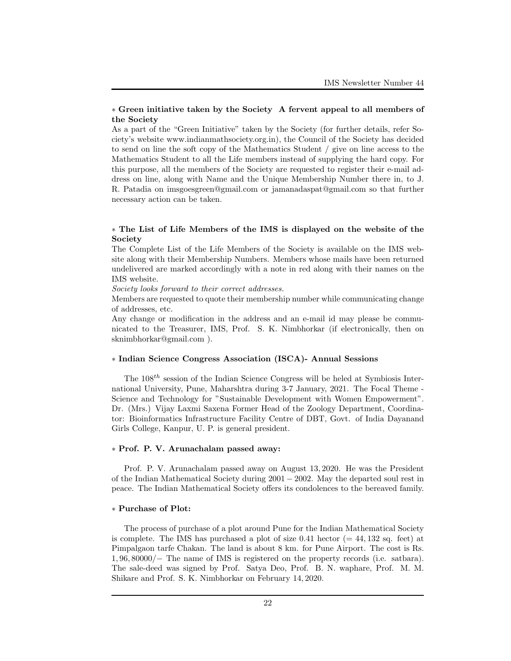# ∗ Green initiative taken by the Society A fervent appeal to all members of the Society

As a part of the "Green Initiative" taken by the Society (for further details, refer Society's website www.indianmathsociety.org.in), the Council of the Society has decided to send on line the soft copy of the Mathematics Student / give on line access to the Mathematics Student to all the Life members instead of supplying the hard copy. For this purpose, all the members of the Society are requested to register their e-mail address on line, along with Name and the Unique Membership Number there in, to J. R. Patadia on imsgoesgreen@gmail.com or jamanadaspat@gmail.com so that further necessary action can be taken.

# ∗ The List of Life Members of the IMS is displayed on the website of the Society

The Complete List of the Life Members of the Society is available on the IMS website along with their Membership Numbers. Members whose mails have been returned undelivered are marked accordingly with a note in red along with their names on the IMS website.

Society looks forward to their correct addresses.

Members are requested to quote their membership number while communicating change of addresses, etc.

Any change or modification in the address and an e-mail id may please be communicated to the Treasurer, IMS, Prof. S. K. Nimbhorkar (if electronically, then on sknimbhorkar@gmail.com ).

#### ∗ Indian Science Congress Association (ISCA)- Annual Sessions

The  $108<sup>th</sup>$  session of the Indian Science Congress will be heled at Symbiosis International University, Pune, Maharshtra during 3-7 January, 2021. The Focal Theme - Science and Technology for "Sustainable Development with Women Empowerment". Dr. (Mrs.) Vijay Laxmi Saxena Former Head of the Zoology Department, Coordinator: Bioinformatics Infrastructure Facility Centre of DBT, Govt. of India Dayanand Girls College, Kanpur, U. P. is general president.

### ∗ Prof. P. V. Arunachalam passed away:

Prof. P. V. Arunachalam passed away on August 13, 2020. He was the President of the Indian Mathematical Society during 2001 − 2002. May the departed soul rest in peace. The Indian Mathematical Society offers its condolences to the bereaved family.

### ∗ Purchase of Plot:

The process of purchase of a plot around Pune for the Indian Mathematical Society is complete. The IMS has purchased a plot of size  $0.41$  hector ( $= 44, 132$  sq. feet) at Pimpalgaon tarfe Chakan. The land is about 8 km. for Pune Airport. The cost is Rs. 1, 96, 80000/− The name of IMS is registered on the property records (i.e. satbara). The sale-deed was signed by Prof. Satya Deo, Prof. B. N. waphare, Prof. M. M. Shikare and Prof. S. K. Nimbhorkar on February 14, 2020.